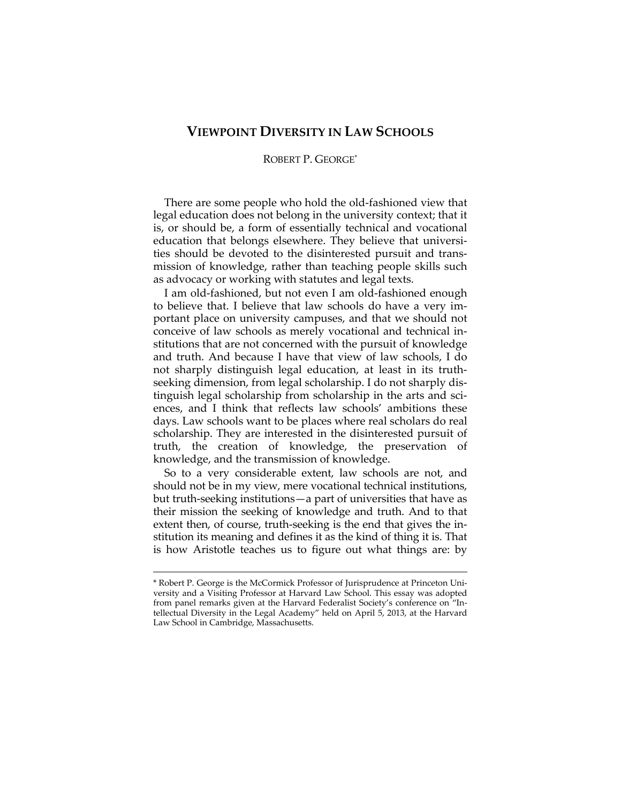## **VIEWPOINT DIVERSITY IN LAW SCHOOLS**

## ROBERT P. GEORGE\*

There are some people who hold the old-fashioned view that legal education does not belong in the university context; that it is, or should be, a form of essentially technical and vocational education that belongs elsewhere. They believe that universities should be devoted to the disinterested pursuit and transmission of knowledge, rather than teaching people skills such as advocacy or working with statutes and legal texts.

I am old-fashioned, but not even I am old-fashioned enough to believe that. I believe that law schools do have a very important place on university campuses, and that we should not conceive of law schools as merely vocational and technical institutions that are not concerned with the pursuit of knowledge and truth. And because I have that view of law schools, I do not sharply distinguish legal education, at least in its truthseeking dimension, from legal scholarship. I do not sharply distinguish legal scholarship from scholarship in the arts and sciences, and I think that reflects law schools' ambitions these days. Law schools want to be places where real scholars do real scholarship. They are interested in the disinterested pursuit of truth, the creation of knowledge, the preservation of knowledge, and the transmission of knowledge.

So to a very considerable extent, law schools are not, and should not be in my view, mere vocational technical institutions, but truth-seeking institutions—a part of universities that have as their mission the seeking of knowledge and truth. And to that extent then, of course, truth-seeking is the end that gives the institution its meaning and defines it as the kind of thing it is. That is how Aristotle teaches us to figure out what things are: by

<sup>\*</sup> Robert P. George is the McCormick Professor of Jurisprudence at Princeton University and a Visiting Professor at Harvard Law School. This essay was adopted from panel remarks given at the Harvard Federalist Society's conference on "Intellectual Diversity in the Legal Academy" held on April 5, 2013, at the Harvard Law School in Cambridge, Massachusetts.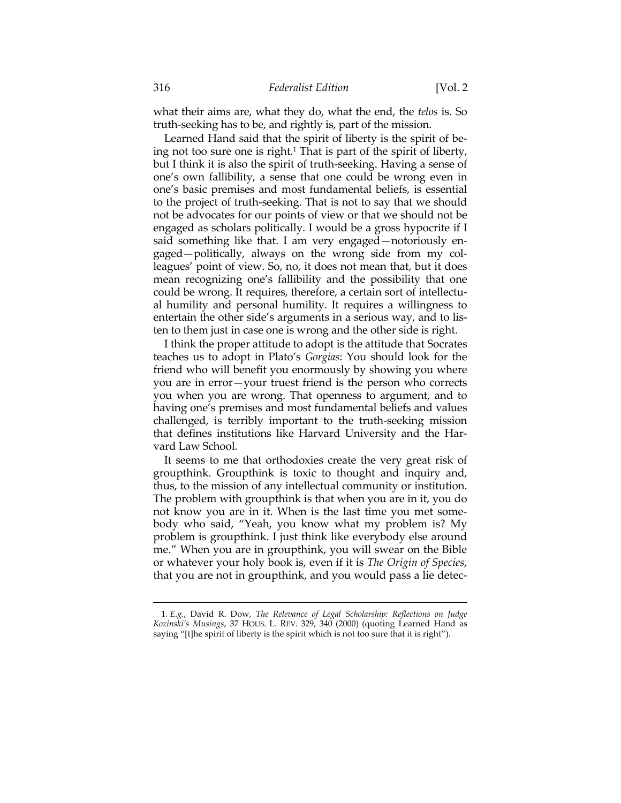what their aims are, what they do, what the end, the *telos* is. So truth-seeking has to be, and rightly is, part of the mission.

Learned Hand said that the spirit of liberty is the spirit of being not too sure one is right.<sup>1</sup> That is part of the spirit of liberty, but I think it is also the spirit of truth-seeking. Having a sense of one's own fallibility, a sense that one could be wrong even in one's basic premises and most fundamental beliefs, is essential to the project of truth-seeking. That is not to say that we should not be advocates for our points of view or that we should not be engaged as scholars politically. I would be a gross hypocrite if I said something like that. I am very engaged—notoriously engaged—politically, always on the wrong side from my colleagues' point of view. So, no, it does not mean that, but it does mean recognizing one's fallibility and the possibility that one could be wrong. It requires, therefore, a certain sort of intellectual humility and personal humility. It requires a willingness to entertain the other side's arguments in a serious way, and to listen to them just in case one is wrong and the other side is right.

I think the proper attitude to adopt is the attitude that Socrates teaches us to adopt in Plato's *Gorgias*: You should look for the friend who will benefit you enormously by showing you where you are in error—your truest friend is the person who corrects you when you are wrong. That openness to argument, and to having one's premises and most fundamental beliefs and values challenged, is terribly important to the truth-seeking mission that defines institutions like Harvard University and the Harvard Law School.

It seems to me that orthodoxies create the very great risk of groupthink. Groupthink is toxic to thought and inquiry and, thus, to the mission of any intellectual community or institution. The problem with groupthink is that when you are in it, you do not know you are in it. When is the last time you met somebody who said, "Yeah, you know what my problem is? My problem is groupthink. I just think like everybody else around me." When you are in groupthink, you will swear on the Bible or whatever your holy book is, even if it is *The Origin of Species*, that you are not in groupthink, and you would pass a lie detec-

<sup>1</sup>*. E.g.*, David R. Dow, *The Relevance of Legal Scholarship: Reflections on Judge Kozinski's Musings*, 37 HOUS. L. REV. 329, 340 (2000) (quoting Learned Hand as saying "[t]he spirit of liberty is the spirit which is not too sure that it is right").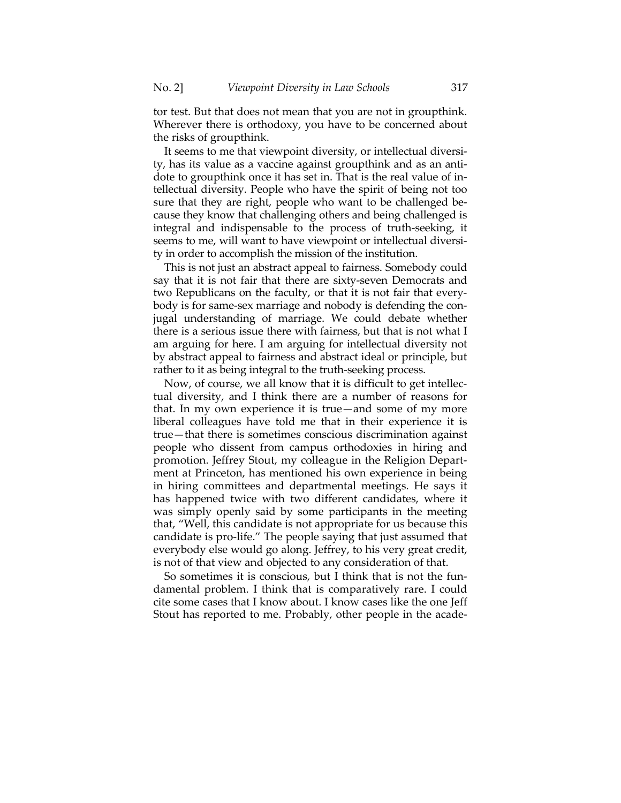tor test. But that does not mean that you are not in groupthink. Wherever there is orthodoxy, you have to be concerned about the risks of groupthink.

It seems to me that viewpoint diversity, or intellectual diversity, has its value as a vaccine against groupthink and as an antidote to groupthink once it has set in. That is the real value of intellectual diversity. People who have the spirit of being not too sure that they are right, people who want to be challenged because they know that challenging others and being challenged is integral and indispensable to the process of truth-seeking, it seems to me, will want to have viewpoint or intellectual diversity in order to accomplish the mission of the institution.

This is not just an abstract appeal to fairness. Somebody could say that it is not fair that there are sixty-seven Democrats and two Republicans on the faculty, or that it is not fair that everybody is for same-sex marriage and nobody is defending the conjugal understanding of marriage. We could debate whether there is a serious issue there with fairness, but that is not what I am arguing for here. I am arguing for intellectual diversity not by abstract appeal to fairness and abstract ideal or principle, but rather to it as being integral to the truth-seeking process.

Now, of course, we all know that it is difficult to get intellectual diversity, and I think there are a number of reasons for that. In my own experience it is true—and some of my more liberal colleagues have told me that in their experience it is true—that there is sometimes conscious discrimination against people who dissent from campus orthodoxies in hiring and promotion. Jeffrey Stout, my colleague in the Religion Department at Princeton, has mentioned his own experience in being in hiring committees and departmental meetings. He says it has happened twice with two different candidates, where it was simply openly said by some participants in the meeting that, "Well, this candidate is not appropriate for us because this candidate is pro-life." The people saying that just assumed that everybody else would go along. Jeffrey, to his very great credit, is not of that view and objected to any consideration of that.

So sometimes it is conscious, but I think that is not the fundamental problem. I think that is comparatively rare. I could cite some cases that I know about. I know cases like the one Jeff Stout has reported to me. Probably, other people in the acade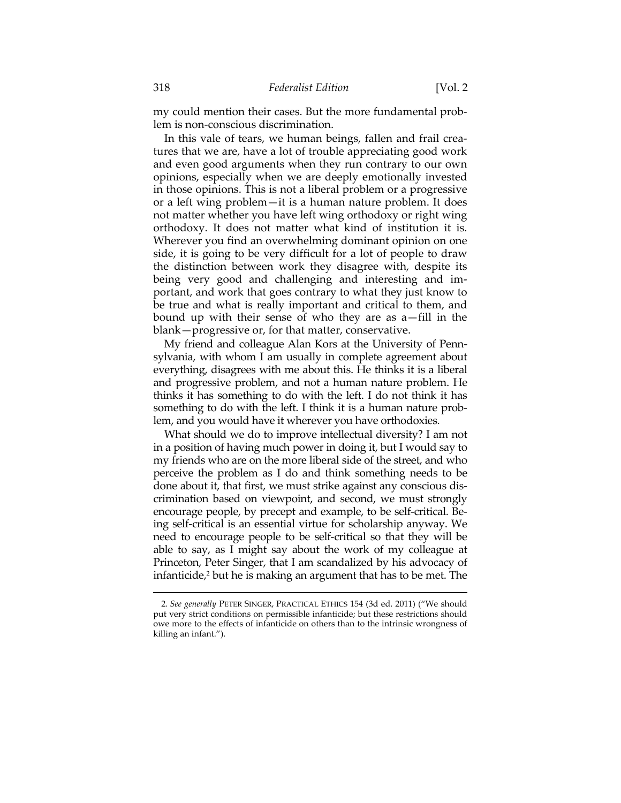my could mention their cases. But the more fundamental problem is non-conscious discrimination.

In this vale of tears, we human beings, fallen and frail creatures that we are, have a lot of trouble appreciating good work and even good arguments when they run contrary to our own opinions, especially when we are deeply emotionally invested in those opinions. This is not a liberal problem or a progressive or a left wing problem—it is a human nature problem. It does not matter whether you have left wing orthodoxy or right wing orthodoxy. It does not matter what kind of institution it is. Wherever you find an overwhelming dominant opinion on one side, it is going to be very difficult for a lot of people to draw the distinction between work they disagree with, despite its being very good and challenging and interesting and important, and work that goes contrary to what they just know to be true and what is really important and critical to them, and bound up with their sense of who they are as a—fill in the blank—progressive or, for that matter, conservative.

My friend and colleague Alan Kors at the University of Pennsylvania, with whom I am usually in complete agreement about everything, disagrees with me about this. He thinks it is a liberal and progressive problem, and not a human nature problem. He thinks it has something to do with the left. I do not think it has something to do with the left. I think it is a human nature problem, and you would have it wherever you have orthodoxies.

What should we do to improve intellectual diversity? I am not in a position of having much power in doing it, but I would say to my friends who are on the more liberal side of the street, and who perceive the problem as I do and think something needs to be done about it, that first, we must strike against any conscious discrimination based on viewpoint, and second, we must strongly encourage people, by precept and example, to be self-critical. Being self-critical is an essential virtue for scholarship anyway. We need to encourage people to be self-critical so that they will be able to say, as I might say about the work of my colleague at Princeton, Peter Singer, that I am scandalized by his advocacy of infanticide,<sup>2</sup> but he is making an argument that has to be met. The

<sup>2</sup>*. See generally* PETER SINGER, PRACTICAL ETHICS 154 (3d ed. 2011) ("We should put very strict conditions on permissible infanticide; but these restrictions should owe more to the effects of infanticide on others than to the intrinsic wrongness of killing an infant.").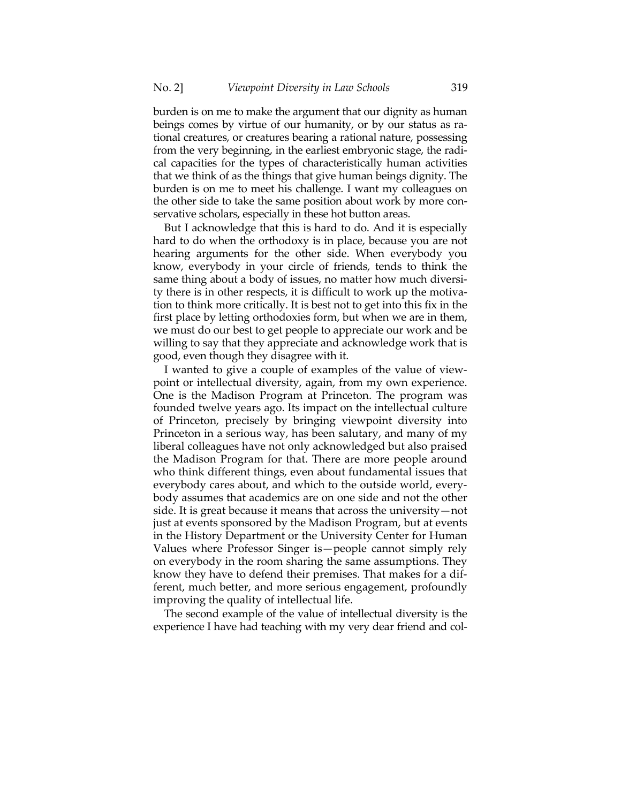burden is on me to make the argument that our dignity as human beings comes by virtue of our humanity, or by our status as rational creatures, or creatures bearing a rational nature, possessing from the very beginning, in the earliest embryonic stage, the radical capacities for the types of characteristically human activities that we think of as the things that give human beings dignity. The burden is on me to meet his challenge. I want my colleagues on the other side to take the same position about work by more conservative scholars, especially in these hot button areas.

But I acknowledge that this is hard to do. And it is especially hard to do when the orthodoxy is in place, because you are not hearing arguments for the other side. When everybody you know, everybody in your circle of friends, tends to think the same thing about a body of issues, no matter how much diversity there is in other respects, it is difficult to work up the motivation to think more critically. It is best not to get into this fix in the first place by letting orthodoxies form, but when we are in them, we must do our best to get people to appreciate our work and be willing to say that they appreciate and acknowledge work that is good, even though they disagree with it.

I wanted to give a couple of examples of the value of viewpoint or intellectual diversity, again, from my own experience. One is the Madison Program at Princeton. The program was founded twelve years ago. Its impact on the intellectual culture of Princeton, precisely by bringing viewpoint diversity into Princeton in a serious way, has been salutary, and many of my liberal colleagues have not only acknowledged but also praised the Madison Program for that. There are more people around who think different things, even about fundamental issues that everybody cares about, and which to the outside world, everybody assumes that academics are on one side and not the other side. It is great because it means that across the university—not just at events sponsored by the Madison Program, but at events in the History Department or the University Center for Human Values where Professor Singer is—people cannot simply rely on everybody in the room sharing the same assumptions. They know they have to defend their premises. That makes for a different, much better, and more serious engagement, profoundly improving the quality of intellectual life.

The second example of the value of intellectual diversity is the experience I have had teaching with my very dear friend and col